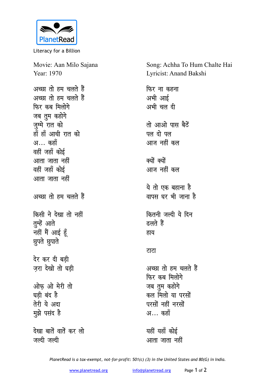

Literacy for a Billion

Movie: Aan Milo Sajana Year: 1970 अच्छा तो हम चलते हैं

अच्छा तो हम चलते हैं **फिर कब मिलोगे** जब तुम कहोगे जुम्मे रात को हाँ हाँ आधी रात को अ… कहाँ वहीं जहाँ कोई <u>आता जाता नहीं</u> वहीं जहाँ कोई <u>आता जाता नहीं</u> अच्छा तो हम चलते हैं **किसी ने देखा तो नहीं** तुम्हें आते ज<br>चहीं मैं आई हूँ **<u>छुपते</u>** छुपाते देर कर दी बड़ी ज़रा देखो तो घड़ी <u>ओफ ओ मेरी तो</u> घडी बंद है **तेरी** ये अदा **मुझे** पसंद है देखा बातें वातें कर लो

जल्दी जल्दी

Song: Achha To Hum Chalte Hai Lyricist: Anand Bakshi **फिर ना कहना** अभी आई अभी चल दी तो आओ पास बैठें <u>पल दो पल</u> आज नहीं कल क्यों क्यों आज नहीं कल ये तो एक बहाना ह<del>ै</del> <u>वापस घर भी जाना है</u> <u>कितनी जल्दी ये दिन</u> **दलते** हैं हाय <u>राटा</u> अच्छा तो हम चलते हैं फिर कब मिलोगे जब तुम कहोगे कल मिलो या परसों परसों नहीं नरसों अ… कहाँ

यहीं यहाँ कोई आता जाता नहीं

*PlanetRead is a tax-exempt, not-for-profit: 501(c) (3) in the United States and 80(G) in India.*